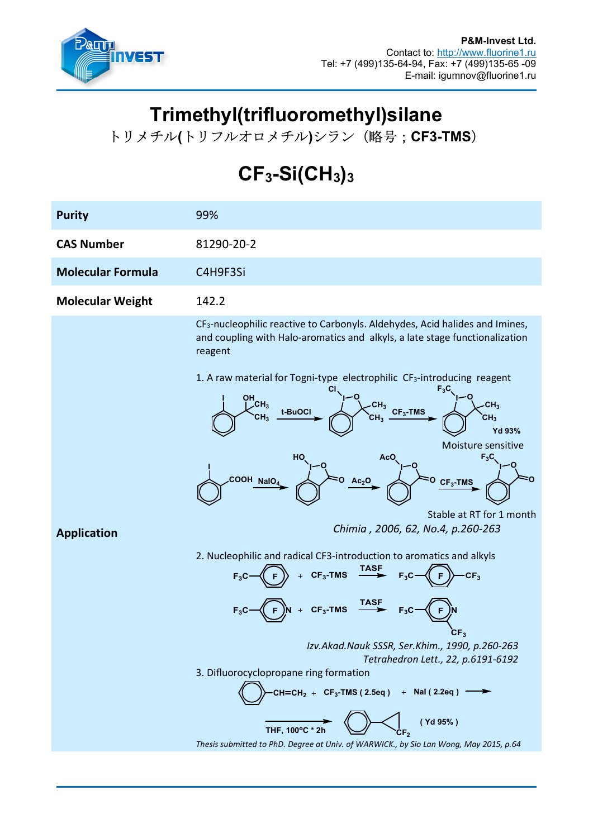

## Trimethyl(trifluoromethyl)silane

トリメチル(トリフルオロメチル)シラン (略号; CF3-TMS)

## $CF_3-Si(CH_3)_3$

| <b>Purity</b>            | 99%                                                                                                                                                                                                                                                                                                                                                                                                                                                                                                                                                                                                                                                                                                                                                                                                                                                                                                                                                                                                                                                                                                                                     |  |
|--------------------------|-----------------------------------------------------------------------------------------------------------------------------------------------------------------------------------------------------------------------------------------------------------------------------------------------------------------------------------------------------------------------------------------------------------------------------------------------------------------------------------------------------------------------------------------------------------------------------------------------------------------------------------------------------------------------------------------------------------------------------------------------------------------------------------------------------------------------------------------------------------------------------------------------------------------------------------------------------------------------------------------------------------------------------------------------------------------------------------------------------------------------------------------|--|
| <b>CAS Number</b>        | 81290-20-2                                                                                                                                                                                                                                                                                                                                                                                                                                                                                                                                                                                                                                                                                                                                                                                                                                                                                                                                                                                                                                                                                                                              |  |
| <b>Molecular Formula</b> | C4H9F3Si                                                                                                                                                                                                                                                                                                                                                                                                                                                                                                                                                                                                                                                                                                                                                                                                                                                                                                                                                                                                                                                                                                                                |  |
| <b>Molecular Weight</b>  | 142.2                                                                                                                                                                                                                                                                                                                                                                                                                                                                                                                                                                                                                                                                                                                                                                                                                                                                                                                                                                                                                                                                                                                                   |  |
| <b>Application</b>       | CF <sub>3</sub> -nucleophilic reactive to Carbonyls. Aldehydes, Acid halides and Imines,<br>and coupling with Halo-aromatics and alkyls, a late stage functionalization<br>reagent<br>1. A raw material for Togni-type electrophilic CF <sub>3</sub> -introducing reagent<br>OH<br> CH3<br>CH <sub>3</sub><br>$-CH_3$ $CF_3-TMS$<br>t-BuOCI<br>CH <sub>3</sub><br>CH <sub>3</sub><br>CH <sub>3</sub><br>Yd 93%<br>Moisture sensitive<br>HO.<br>$F_3C$<br>AcO<br>COOH NalO <sub>4</sub><br>$Ac_2O$<br>$CF_3$ -TMS<br>Stable at RT for 1 month<br>Chimia, 2006, 62, No.4, p.260-263<br>2. Nucleophilic and radical CF3-introduction to aromatics and alkyls<br>$CF_3$ -TMS TASF<br>CF <sub>3</sub><br>$\overset{\text{TASP}}{\longrightarrow}$<br>$CF_3$ -TMS<br>$F_3C$<br>CF <sub>3</sub><br>Izv.Akad.Nauk SSSR, Ser.Khim., 1990, p.260-263<br>Tetrahedron Lett., 22, p.6191-6192<br>3. Difluorocyclopropane ring formation<br>CH=CH <sub>2</sub> + CF <sub>3</sub> -TMS (2.5eq) + NaI (2.2eq) $\longrightarrow$<br>(Yd 95%)<br>THF, 100°C * 21<br>Thesis submitted to PhD. Degree at Univ. of WARWICK., by Sio Lan Wong, May 2015, p.64 |  |